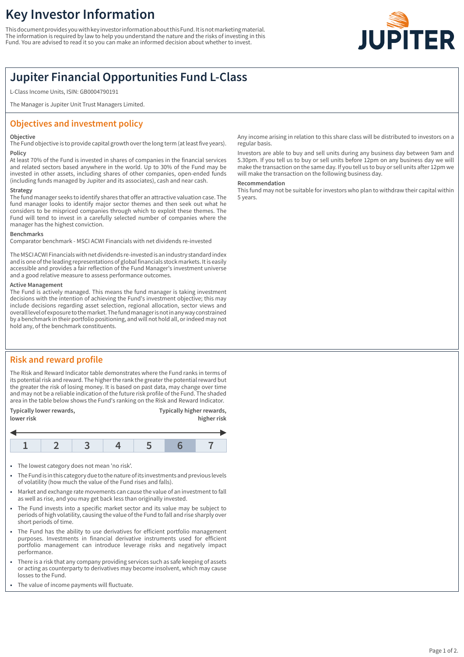# **Key Investor Information**

This document provides you with key investor information about this Fund. It is not marketing material. The information is required by law to help you understand the nature and the risks of investing in this Fund. You are advised to read it so you can make an informed decision about whether to invest.



## **Jupiter Financial Opportunities Fund L-Class**

L-Class Income Units, ISIN: GB0004790191

The Manager is Jupiter Unit Trust Managers Limited.

## **Objectives and investment policy**

#### **Objective**

The Fund objective is to provide capital growth over the long term (at least five years). **Policy**

At least 70% of the Fund is invested in shares of companies in the financial services and related sectors based anywhere in the world. Up to 30% of the Fund may be invested in other assets, including shares of other companies, open-ended funds (including funds managed by Jupiter and its associates), cash and near cash.

### **Strategy**

The fund manager seeks to identify shares that offer an attractive valuation case. The fund manager looks to identify major sector themes and then seek out what he considers to be mispriced companies through which to exploit these themes. The Fund will tend to invest in a carefully selected number of companies where the manager has the highest conviction.

#### **Benchmarks**

Comparator benchmark - MSCI ACWI Financials with net dividends re-invested

The MSCI ACWI Financials with net dividends re-invested is an industry standard index and is one of the leading representations of global financials stock markets. It is easily accessible and provides a fair reflection of the Fund Manager's investment universe and a good relative measure to assess performance outcomes.

#### **Active Management**

The Fund is actively managed. This means the fund manager is taking investment decisions with the intention of achieving the Fund's investment objective; this may include decisions regarding asset selection, regional allocation, sector views and overall level of exposure to the market. The fund manager is not in any way constrained by a benchmark in their portfolio positioning, and will not hold all, or indeed may not hold any, of the benchmark constituents.

## **Risk and reward profile**

The Risk and Reward Indicator table demonstrates where the Fund ranks in terms of its potential risk and reward. The higher the rank the greater the potential reward but the greater the risk of losing money. It is based on past data, may change over time and may not be a reliable indication of the future risk profile of the Fund. The shaded area in the table below shows the Fund's ranking on the Risk and Reward Indicator.



- The lowest category does not mean 'no risk'.
- 1 The Fund is in this category due to the nature of its investments and previous levels of volatility (how much the value of the Fund rises and falls).
- Market and exchange rate movements can cause the value of an investment to fall as well as rise, and you may get back less than originally invested.
- 1 The Fund invests into a specific market sector and its value may be subject to periods of high volatility, causing the value of the Fund to fall and rise sharply over short periods of time.
- The Fund has the ability to use derivatives for efficient portfolio management purposes. Investments in financial derivative instruments used for efficient portfolio management can introduce leverage risks and negatively impact performance.
- There is a risk that any company providing services such as safe keeping of assets or acting as counterparty to derivatives may become insolvent, which may cause losses to the Fund.
- The value of income payments will fluctuate.

Any income arising in relation to this share class will be distributed to investors on a regular basis.

Investors are able to buy and sell units during any business day between 9am and 5.30pm. If you tell us to buy or sell units before 12pm on any business day we will make the transaction on the same day. If you tell us to buy or sell units after 12pm we will make the transaction on the following business day.

#### **Recommendation**

This fund may not be suitable for investors who plan to withdraw their capital within 5 years.